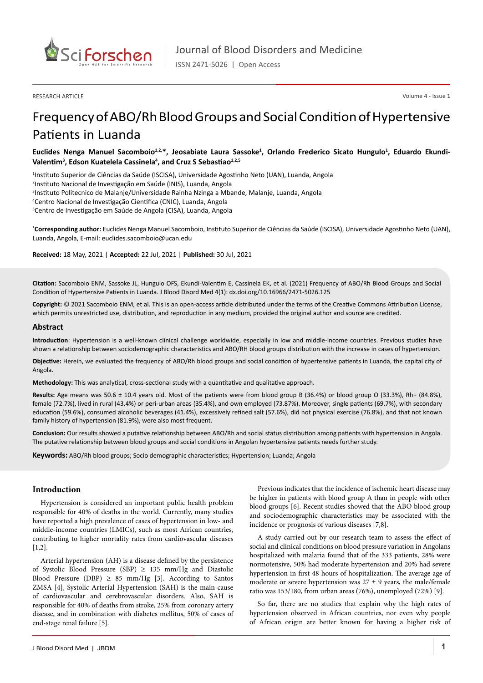

RESEARCH ARTICLE

Volume 4 - Issue 1

# Frequency of ABO/Rh Blood Groups and Social Condition of Hypertensive Patients in Luanda

Euclides Nenga Manuel Sacomboio<sup>1,2,\*</sup>, Jeosabiate Laura Sassoke<sup>1</sup>, Orlando Frederico Sicato Hungulo<sup>1</sup>, Eduardo Ekundi-Valentim<sup>3</sup>, Edson Kuatelela Cassinela<sup>4</sup>, and Cruz S Sebastiao<sup>1,2,5</sup>

 Instituto Superior de Ciências da Saúde (ISCISA), Universidade Agostinho Neto (UAN), Luanda, Angola Instituto Nacional de Investigação em Saúde (INIS), Luanda, Angola Instituto Politecnico de Malanje/Universidade Rainha Nzinga a Mbande, Malanje, Luanda, Angola Centro Nacional de Investigação Cientifica (CNIC), Luanda, Angola Centro de Investigação em Saúde de Angola (CISA), Luanda, Angola

**\* Corresponding author:** Euclides Nenga Manuel Sacomboio, Instituto Superior de Ciências da Saúde (ISCISA), Universidade Agostinho Neto (UAN), Luanda, Angola, E-mail: euclides.sacomboio@ucan.edu

**Received:** 18 May, 2021 | **Accepted:** 22 Jul, 2021 | **Published:** 30 Jul, 2021

**Citation:** Sacomboio ENM, Sassoke JL, Hungulo OFS, Ekundi-Valentim E, Cassinela EK, et al. (2021) Frequency of ABO/Rh Blood Groups and Social Condition of Hypertensive Patients in Luanda. J Blood Disord Med 4(1): dx.doi.org/10.16966/2471-5026.125

**Copyright:** © 2021 Sacomboio ENM, et al. This is an open-access article distributed under the terms of the Creative Commons Attribution License, which permits unrestricted use, distribution, and reproduction in any medium, provided the original author and source are credited.

#### **Abstract**

**Introduction**: Hypertension is a well-known clinical challenge worldwide, especially in low and middle-income countries. Previous studies have shown a relationship between sociodemographic characteristics and ABO/RH blood groups distribution with the increase in cases of hypertension.

**Objective:** Herein, we evaluated the frequency of ABO/Rh blood groups and social condition of hypertensive patients in Luanda, the capital city of Angola.

**Methodology:** This was analytical, cross-sectional study with a quantitative and qualitative approach.

**Results:** Age means was 50.6 ± 10.4 years old. Most of the patients were from blood group B (36.4%) or blood group O (33.3%), Rh+ (84.8%), female (72.7%), lived in rural (43.4%) or peri-urban areas (35.4%), and own employed (73.87%). Moreover, single patients (69.7%), with secondary education (59.6%), consumed alcoholic beverages (41.4%), excessively refined salt (57.6%), did not physical exercise (76.8%), and that not known family history of hypertension (81.9%), were also most frequent.

**Conclusion:** Our results showed a putative relationship between ABO/Rh and social status distribution among patients with hypertension in Angola. The putative relationship between blood groups and social conditions in Angolan hypertensive patients needs further study.

**Keywords:** ABO/Rh blood groups; Socio demographic characteristics; Hypertension; Luanda; Angola

#### **Introduction**

Hypertension is considered an important public health problem responsible for 40% of deaths in the world. Currently, many studies have reported a high prevalence of cases of hypertension in low- and middle-income countries (LMICs), such as most African countries, contributing to higher mortality rates from cardiovascular diseases [1,2].

Arterial hypertension (AH) is a disease defined by the persistence of Systolic Blood Pressure (SBP)  $\geq$  135 mm/Hg and Diastolic Blood Pressure (DBP)  $\geq$  85 mm/Hg [3]. According to Santos ZMSA [4], Systolic Arterial Hypertension (SAH) is the main cause of cardiovascular and cerebrovascular disorders. Also, SAH is responsible for 40% of deaths from stroke, 25% from coronary artery disease, and in combination with diabetes mellitus, 50% of cases of end-stage renal failure [5].

Previous indicates that the incidence of ischemic heart disease may be higher in patients with blood group A than in people with other blood groups [6]. Recent studies showed that the ABO blood group and sociodemographic characteristics may be associated with the incidence or prognosis of various diseases [7,8].

A study carried out by our research team to assess the effect of social and clinical conditions on blood pressure variation in Angolans hospitalized with malaria found that of the 333 patients, 28% were normotensive, 50% had moderate hypertension and 20% had severe hypertension in first 48 hours of hospitalization. The average age of moderate or severe hypertension was  $27 \pm 9$  years, the male/female ratio was 153/180, from urban areas (76%), unemployed (72%) [9].

So far, there are no studies that explain why the high rates of hypertension observed in African countries, nor even why people of African origin are better known for having a higher risk of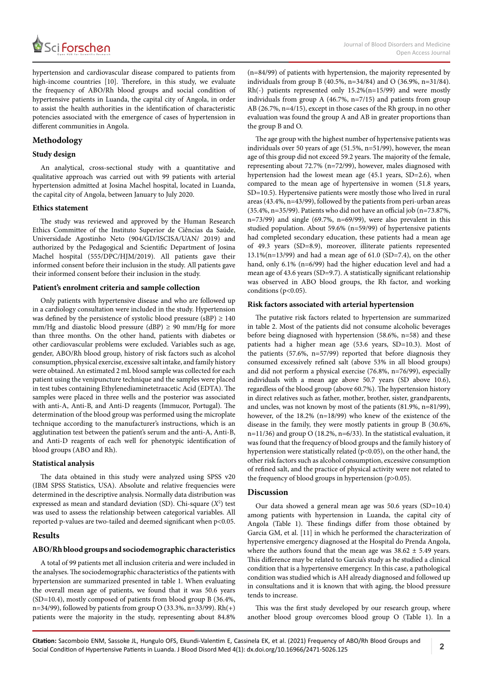

hypertension and cardiovascular disease compared to patients from high-income countries [10]. Therefore, in this study, we evaluate the frequency of ABO/Rh blood groups and social condition of hypertensive patients in Luanda, the capital city of Angola, in order to assist the health authorities in the identification of characteristic potencies associated with the emergence of cases of hypertension in different communities in Angola.

## **Methodology**

#### **Study design**

An analytical, cross-sectional study with a quantitative and qualitative approach was carried out with 99 patients with arterial hypertension admitted at Josina Machel hospital, located in Luanda, the capital city of Angola, between January to July 2020.

## **Ethics statement**

The study was reviewed and approved by the Human Research Ethics Committee of the Instituto Superior de Ciências da Saúde, Universidade Agostinho Neto (904/GD/ISCISA/UAN/ 2019) and authorized by the Pedagogical and Scientific Department of Josina Machel hospital (555/DPC/HJM/2019). All patients gave their informed consent before their inclusion in the study. All patients gave their informed consent before their inclusion in the study.

#### **Patient's enrolment criteria and sample collection**

Only patients with hypertensive disease and who are followed up in a cardiology consultation were included in the study. Hypertension was defined by the persistence of systolic blood pressure (sBP)  $\geq 140$ mm/Hg and diastolic blood pressure (dBP)  $\geq$  90 mm/Hg for more than three months. On the other hand, patients with diabetes or other cardiovascular problems were excluded. Variables such as age, gender, ABO/Rh blood group, history of risk factors such as alcohol consumption, physical exercise, excessive salt intake, and family history were obtained. An estimated 2 mL blood sample was collected for each patient using the venipuncture technique and the samples were placed in test tubes containing Ethylenediaminetetraacetic Acid (EDTA). The samples were placed in three wells and the posterior was associated with anti-A, Anti-B, and Anti-D reagents (Immucor, Portugal). The determination of the blood group was performed using the microplate technique according to the manufacturer's instructions, which is an agglutination test between the patient's serum and the anti-A, Anti-B, and Anti-D reagents of each well for phenotypic identification of blood groups (ABO and Rh).

#### **Statistical analysis**

The data obtained in this study were analyzed using SPSS v20 (IBM SPSS Statistics, USA). Absolute and relative frequencies were determined in the descriptive analysis. Normally data distribution was expressed as mean and standard deviation (SD). Chi-square (*X*<sup>2</sup> ) test was used to assess the relationship between categorical variables. All reported p-values are two-tailed and deemed significant when p<0.05.

#### **Results**

#### **ABO/Rh blood groups and sociodemographic characteristics**

A total of 99 patients met all inclusion criteria and were included in the analyses. The sociodemographic characteristics of the patients with hypertension are summarized presented in table 1. When evaluating the overall mean age of patients, we found that it was 50.6 years (SD=10.4), mostly composed of patients from blood group B (36.4%, n=34/99), followed by patients from group O (33.3%, n=33/99).  $Rh(+)$ patients were the majority in the study, representing about 84.8% (n=84/99) of patients with hypertension, the majority represented by individuals from group B (40.5%, n=34/84) and O (36.9%, n=31/84). Rh(-) patients represented only 15.2%(n=15/99) and were mostly individuals from group A (46.7%, n=7/15) and patients from group AB (26.7%, n=4/15), except in those cases of the Rh group, in no other evaluation was found the group A and AB in greater proportions than the group B and O.

The age group with the highest number of hypertensive patients was individuals over 50 years of age (51.5%, n=51/99), however, the mean age of this group did not exceed 59.2 years. The majority of the female, representing about 72.7% (n=72/99), however, males diagnosed with hypertension had the lowest mean age (45.1 years, SD=2.6), when compared to the mean age of hypertensive in women (51.8 years, SD=10.5). Hypertensive patients were mostly those who lived in rural areas (43.4%, n=43/99), followed by the patients from peri-urban areas (35.4%, n=35/99). Patients who did not have an official job (n=73.87%, n=73/99) and single (69.7%, n=69/99), were also prevalent in this studied population. About 59.6% (n=59/99) of hypertensive patients had completed secondary education, these patients had a mean age of 49.3 years (SD=8.9), moreover, illiterate patients represented  $13.1\%$ (n=13/99) and had a mean age of 61.0 (SD=7.4), on the other hand, only 6.1% (n=6/99) had the higher education level and had a mean age of 43.6 years (SD=9.7). A statistically significant relationship was observed in ABO blood groups, the Rh factor, and working conditions (p<0.05).

#### **Risk factors associated with arterial hypertension**

The putative risk factors related to hypertension are summarized in table 2. Most of the patients did not consume alcoholic beverages before being diagnosed with hypertension (58.6%, n=58) and these patients had a higher mean age (53.6 years, SD=10.3). Most of the patients (57.6%, n=57/99) reported that before diagnosis they consumed excessively refined salt (above 53% in all blood groups) and did not perform a physical exercise (76.8%, n=76/99), especially individuals with a mean age above 50.7 years (SD above 10.6), regardless of the blood group (above 60.7%). The hypertension history in direct relatives such as father, mother, brother, sister, grandparents, and uncles, was not known by most of the patients (81.9%, n=81/99), however, of the 18.2% (n=18/99) who knew of the existence of the disease in the family, they were mostly patients in group B (30.6%, n=11/36) and group O (18.2%, n=6/33). In the statistical evaluation, it was found that the frequency of blood groups and the family history of hypertension were statistically related ( $p$ <0.05), on the other hand, the other risk factors such as alcohol consumption, excessive consumption of refined salt, and the practice of physical activity were not related to the frequency of blood groups in hypertension (p>0.05).

# **Discussion**

Our data showed a general mean age was 50.6 years (SD=10.4) among patients with hypertension in Luanda, the capital city of Angola (Table 1). These findings differ from those obtained by Garcia GM, et al. [11] in which he performed the characterization of hypertensive emergency diagnosed at the Hospital do Prenda Angola, where the authors found that the mean age was  $38.62 \pm 5.49$  years. This difference may be related to Garcia's study as he studied a clinical condition that is a hypertensive emergency. In this case, a pathological condition was studied which is AH already diagnosed and followed up in consultations and it is known that with aging, the blood pressure tends to increase.

This was the first study developed by our research group, where another blood group overcomes blood group O (Table 1). In a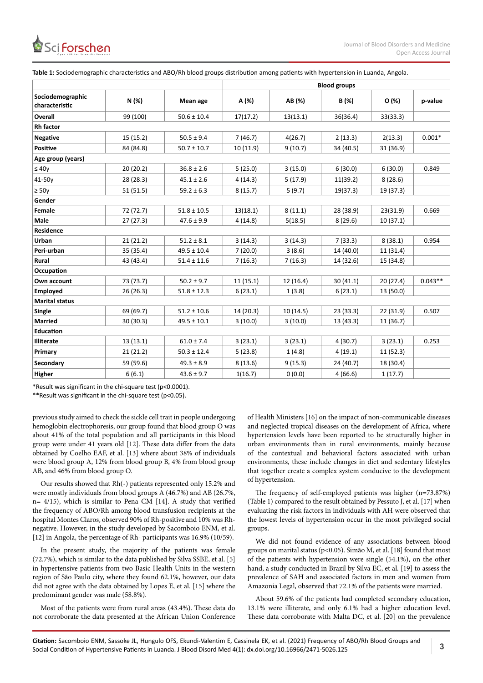

|                                    |           |                 | <b>Blood groups</b> |           |           |           |           |  |  |  |  |
|------------------------------------|-----------|-----------------|---------------------|-----------|-----------|-----------|-----------|--|--|--|--|
| Sociodemographic<br>characteristic | N (%)     | Mean age        | A (%)               | AB (%)    | B(%)      | O (%)     | p-value   |  |  |  |  |
| Overall                            | 99 (100)  | $50.6 \pm 10.4$ | 17(17.2)            | 13(13.1)  | 36(36.4)  | 33(33.3)  |           |  |  |  |  |
| <b>Rh</b> factor                   |           |                 |                     |           |           |           |           |  |  |  |  |
| <b>Negative</b>                    | 15 (15.2) | $50.5 \pm 9.4$  | 7(46.7)             | 4(26.7)   | 2(13.3)   | 2(13.3)   | $0.001*$  |  |  |  |  |
| <b>Positive</b>                    | 84 (84.8) | $50.7 \pm 10.7$ | 10 (11.9)           | 9(10.7)   | 34 (40.5) | 31 (36.9) |           |  |  |  |  |
| Age group (years)                  |           |                 |                     |           |           |           |           |  |  |  |  |
| $\leq 40y$                         | 20 (20.2) | $36.8 \pm 2.6$  | 5(25.0)             | 3(15.0)   | 6(30.0)   | 6(30.0)   | 0.849     |  |  |  |  |
| 41-50y                             | 28 (28.3) | $45.1 \pm 2.6$  | 4(14.3)             | 5(17.9)   | 11(39.2)  | 8(28.6)   |           |  |  |  |  |
| $\geq 50y$                         | 51(51.5)  | $59.2 \pm 6.3$  | 8(15.7)             | 5(9.7)    | 19(37.3)  | 19 (37.3) |           |  |  |  |  |
| Gender                             |           |                 |                     |           |           |           |           |  |  |  |  |
| Female                             | 72 (72.7) | $51.8 \pm 10.5$ | 13(18.1)            | 8(11.1)   | 28 (38.9) | 23(31.9)  | 0.669     |  |  |  |  |
| Male                               | 27(27.3)  | $47.6 \pm 9.9$  | 4(14.8)             | 5(18.5)   | 8(29.6)   | 10(37.1)  |           |  |  |  |  |
| <b>Residence</b>                   |           |                 |                     |           |           |           |           |  |  |  |  |
| Urban                              | 21(21.2)  | $51.2 \pm 8.1$  | 3(14.3)             | 3(14.3)   | 7(33.3)   | 8(38.1)   | 0.954     |  |  |  |  |
| Peri-urban                         | 35 (35.4) | $49.5 \pm 10.4$ | 7(20.0)             | 3(8.6)    | 14 (40.0) | 11 (31.4) |           |  |  |  |  |
| <b>Rural</b>                       | 43 (43.4) | $51.4 \pm 11.6$ | 7(16.3)             | 7(16.3)   | 14 (32.6) | 15 (34.8) |           |  |  |  |  |
| Occupation                         |           |                 |                     |           |           |           |           |  |  |  |  |
| Own account                        | 73 (73.7) | $50.2 \pm 9.7$  | 11(15.1)            | 12 (16.4) | 30 (41.1) | 20 (27.4) | $0.043**$ |  |  |  |  |
| <b>Employed</b>                    | 26(26.3)  | $51.8 \pm 12.3$ | 6(23.1)             | 1(3.8)    | 6(23.1)   | 13 (50.0) |           |  |  |  |  |
| <b>Marital status</b>              |           |                 |                     |           |           |           |           |  |  |  |  |
| Single                             | 69 (69.7) | $51.2 \pm 10.6$ | 14 (20.3)           | 10 (14.5) | 23 (33.3) | 22 (31.9) | 0.507     |  |  |  |  |
| <b>Married</b>                     | 30 (30.3) | $49.5 \pm 10.1$ | 3(10.0)             | 3(10.0)   | 13 (43.3) | 11 (36.7) |           |  |  |  |  |
| Education                          |           |                 |                     |           |           |           |           |  |  |  |  |
| <b>Illiterate</b>                  | 13(13.1)  | $61.0 \pm 7.4$  | 3(23.1)             | 3(23.1)   | 4(30.7)   | 3(23.1)   | 0.253     |  |  |  |  |
| Primary                            | 21 (21.2) | $50.3 \pm 12.4$ | 5(23.8)             | 1(4.8)    | 4(19.1)   | 11(52.3)  |           |  |  |  |  |
| Secondary                          | 59 (59.6) | $49.3 \pm 8.9$  | 8(13.6)             | 9(15.3)   | 24 (40.7) | 18 (30.4) |           |  |  |  |  |
| <b>Higher</b>                      | 6(6.1)    | $43.6 \pm 9.7$  | 1(16.7)             | 0(0.0)    | 4(66.6)   | 1(17.7)   |           |  |  |  |  |

\*Result was significant in the chi-square test (p<0.0001).

\*\*Result was significant in the chi-square test (p<0.05).

previous study aimed to check the sickle cell trait in people undergoing hemoglobin electrophoresis, our group found that blood group O was about 41% of the total population and all participants in this blood group were under 41 years old [12]. These data differ from the data obtained by Coelho EAF, et al. [13] where about 38% of individuals were blood group A, 12% from blood group B, 4% from blood group AB, and 46% from blood group O.

Our results showed that Rh(-) patients represented only 15.2% and were mostly individuals from blood groups A (46.7%) and AB (26.7%, n= 4/15), which is similar to Pena CM [14]. A study that verified the frequency of ABO/Rh among blood transfusion recipients at the hospital Montes Claros, observed 90% of Rh-positive and 10% was Rhnegative. However, in the study developed by Sacomboio ENM, et al. [12] in Angola, the percentage of Rh- participants was 16.9% (10/59).

In the present study, the majority of the patients was female (72.7%), which is similar to the data published by Silva SSBE, et al. [5] in hypertensive patients from two Basic Health Units in the western region of São Paulo city, where they found 62.1%, however, our data did not agree with the data obtained by Lopes E, et al. [15] where the predominant gender was male (58.8%).

Most of the patients were from rural areas (43.4%). These data do not corroborate the data presented at the African Union Conference of Health Ministers [16] on the impact of non-communicable diseases and neglected tropical diseases on the development of Africa, where hypertension levels have been reported to be structurally higher in urban environments than in rural environments, mainly because of the contextual and behavioral factors associated with urban environments, these include changes in diet and sedentary lifestyles that together create a complex system conducive to the development of hypertension.

The frequency of self-employed patients was higher (n=73.87%) (Table 1) compared to the result obtained by Pessuto J, et al. [17] when evaluating the risk factors in individuals with AH were observed that the lowest levels of hypertension occur in the most privileged social groups.

We did not found evidence of any associations between blood groups on marital status (p<0.05). Simão M, et al. [18] found that most of the patients with hypertension were single (54.1%), on the other hand, a study conducted in Brazil by Silva EC, et al. [19] to assess the prevalence of SAH and associated factors in men and women from Amazonia Legal, observed that 72.1% of the patients were married.

About 59.6% of the patients had completed secondary education, 13.1% were illiterate, and only 6.1% had a higher education level. These data corroborate with Malta DC, et al. [20] on the prevalence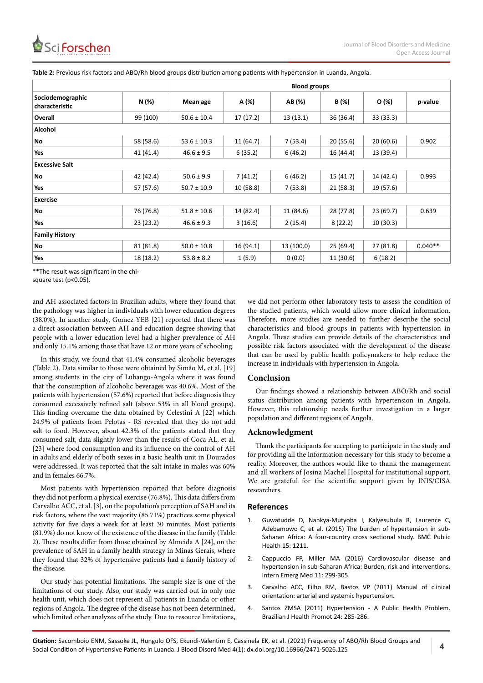|                                    |           | <b>Blood groups</b> |           |            |           |           |           |  |  |  |  |  |
|------------------------------------|-----------|---------------------|-----------|------------|-----------|-----------|-----------|--|--|--|--|--|
| Sociodemographic<br>characteristic | N (%)     | Mean age            | A (%)     | AB (%)     | B (%)     | O(%)      | p-value   |  |  |  |  |  |
| Overall                            | 99 (100)  | $50.6 \pm 10.4$     | 17 (17.2) | 13(13.1)   | 36(36.4)  | 33 (33.3) |           |  |  |  |  |  |
| Alcohol                            |           |                     |           |            |           |           |           |  |  |  |  |  |
| <b>No</b>                          | 58 (58.6) | $53.6 \pm 10.3$     | 11 (64.7) | 7(53.4)    | 20(55.6)  | 20(60.6)  | 0.902     |  |  |  |  |  |
| Yes                                | 41 (41.4) | $46.6 \pm 9.5$      | 6(35.2)   | 6(46.2)    | 16 (44.4) | 13 (39.4) |           |  |  |  |  |  |
| <b>Excessive Salt</b>              |           |                     |           |            |           |           |           |  |  |  |  |  |
| No                                 | 42 (42.4) | $50.6 \pm 9.9$      | 7(41.2)   | 6(46.2)    | 15 (41.7) | 14 (42.4) | 0.993     |  |  |  |  |  |
| Yes                                | 57 (57.6) | $50.7 \pm 10.9$     | 10 (58.8) | 7(53.8)    | 21(58.3)  | 19 (57.6) |           |  |  |  |  |  |
| <b>Exercise</b>                    |           |                     |           |            |           |           |           |  |  |  |  |  |
| <b>No</b>                          | 76 (76.8) | $51.8 \pm 10.6$     | 14 (82.4) | 11 (84.6)  | 28 (77.8) | 23 (69.7) | 0.639     |  |  |  |  |  |
| Yes                                | 23 (23.2) | $46.6 \pm 9.3$      | 3(16.6)   | 2(15.4)    | 8(22.2)   | 10(30.3)  |           |  |  |  |  |  |
| <b>Family History</b>              |           |                     |           |            |           |           |           |  |  |  |  |  |
| <b>No</b>                          | 81 (81.8) | $50.0 \pm 10.8$     | 16 (94.1) | 13 (100.0) | 25(69.4)  | 27(81.8)  | $0.040**$ |  |  |  |  |  |
| Yes                                | 18 (18.2) | $53.8 \pm 8.2$      | 1(5.9)    | 0(0.0)     | 11 (30.6) | 6(18.2)   |           |  |  |  |  |  |

**Table 2:** Previous risk factors and ABO/Rh blood groups distribution among patients with hypertension in Luanda, Angola.

\*\*The result was significant in the chi-

square test (p<0.05).

and AH associated factors in Brazilian adults, where they found that the pathology was higher in individuals with lower education degrees (38.0%). In another study, Gomez YEB [21] reported that there was a direct association between AH and education degree showing that people with a lower education level had a higher prevalence of AH and only 15.1% among those that have 12 or more years of schooling.

In this study, we found that 41.4% consumed alcoholic beverages (Table 2). Data similar to those were obtained by Simão M, et al. [19] among students in the city of Lubango-Angola where it was found that the consumption of alcoholic beverages was 40.6%. Most of the patients with hypertension (57.6%) reported that before diagnosis they consumed excessively refined salt (above 53% in all blood groups). This finding overcame the data obtained by Celestini A [22] which 24.9% of patients from Pelotas - RS revealed that they do not add salt to food. However, about 42.3% of the patients stated that they consumed salt, data slightly lower than the results of Coca AL, et al. [23] where food consumption and its influence on the control of AH in adults and elderly of both sexes in a basic health unit in Dourados were addressed. It was reported that the salt intake in males was 60% and in females 66.7%.

Most patients with hypertension reported that before diagnosis they did not perform a physical exercise (76.8%). This data differs from Carvalho ACC, et al. [3], on the population's perception of SAH and its risk factors, where the vast majority (85.71%) practices some physical activity for five days a week for at least 30 minutes. Most patients (81.9%) do not know of the existence of the disease in the family (Table 2). These results differ from those obtained by Almeida A [24], on the prevalence of SAH in a family health strategy in Minas Gerais, where they found that 32% of hypertensive patients had a family history of the disease.

Our study has potential limitations. The sample size is one of the limitations of our study. Also, our study was carried out in only one health unit, which does not represent all patients in Luanda or other regions of Angola. The degree of the disease has not been determined, which limited other analyzes of the study. Due to resource limitations, we did not perform other laboratory tests to assess the condition of the studied patients, which would allow more clinical information. Therefore, more studies are needed to further describe the social characteristics and blood groups in patients with hypertension in Angola. These studies can provide details of the characteristics and possible risk factors associated with the development of the disease that can be used by public health policymakers to help reduce the increase in individuals with hypertension in Angola.

# **Conclusion**

Our findings showed a relationship between ABO/Rh and social status distribution among patients with hypertension in Angola. However, this relationship needs further investigation in a larger population and different regions of Angola.

#### **Acknowledgment**

Thank the participants for accepting to participate in the study and for providing all the information necessary for this study to become a reality. Moreover, the authors would like to thank the management and all workers of Josina Machel Hospital for institutional support. We are grateful for the scientific support given by INIS/CISA researchers.

#### **References**

- 1. [Guwatudde D, Nankya-Mutyoba J, Kalyesubula R, Laurence C,](https://pubmed.ncbi.nlm.nih.gov/26637309/) [Adebamowo C, et al. \(2015\) The burden of hypertension in sub-](https://pubmed.ncbi.nlm.nih.gov/26637309/)[Saharan Africa: A four-country cross sectional study. BMC Public](https://pubmed.ncbi.nlm.nih.gov/26637309/) [Health 15: 1211.](https://pubmed.ncbi.nlm.nih.gov/26637309/)
- 2. [Cappuccio FP, Miller MA \(2016\) Cardiovascular disease and](https://pubmed.ncbi.nlm.nih.gov/27001886/) [hypertension in sub-Saharan Africa: Burden, risk and interventions.](https://pubmed.ncbi.nlm.nih.gov/27001886/) [Intern Emerg Med 11: 299-305.](https://pubmed.ncbi.nlm.nih.gov/27001886/)
- 3. Carvalho ACC, Filho RM, Bastos VP (2011) Manual of clinical orientation: arterial and systemic hypertension.
- 4. Santos ZMSA (2011) Hypertension A Public Health Problem. Brazilian J Health Promot 24: 285-286.